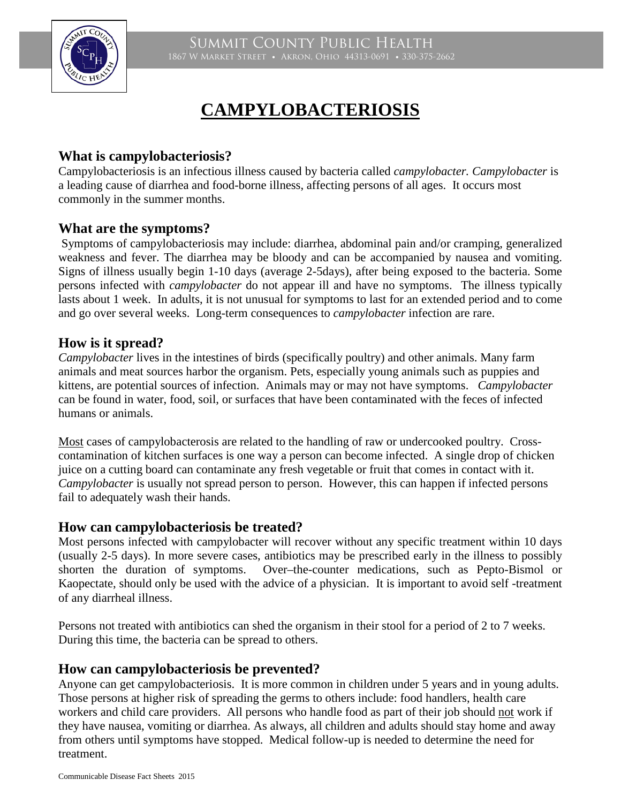

# **CAMPYLOBACTERIOSIS**

### **What is campylobacteriosis?**

Campylobacteriosis is an infectious illness caused by bacteria called *campylobacter. Campylobacter* is a leading cause of diarrhea and food-borne illness, affecting persons of all ages. It occurs most commonly in the summer months.

#### **What are the symptoms?**

Symptoms of campylobacteriosis may include: diarrhea, abdominal pain and/or cramping, generalized weakness and fever. The diarrhea may be bloody and can be accompanied by nausea and vomiting. Signs of illness usually begin 1-10 days (average 2-5days), after being exposed to the bacteria. Some persons infected with *campylobacter* do not appear ill and have no symptoms. The illness typically lasts about 1 week. In adults, it is not unusual for symptoms to last for an extended period and to come and go over several weeks. Long-term consequences to *campylobacter* infection are rare.

### **How is it spread?**

*Campylobacter* lives in the intestines of birds (specifically poultry) and other animals. Many farm animals and meat sources harbor the organism. Pets, especially young animals such as puppies and kittens, are potential sources of infection. Animals may or may not have symptoms. *Campylobacter* can be found in water, food, soil, or surfaces that have been contaminated with the feces of infected humans or animals.

Most cases of campylobacterosis are related to the handling of raw or undercooked poultry. Crosscontamination of kitchen surfaces is one way a person can become infected. A single drop of chicken juice on a cutting board can contaminate any fresh vegetable or fruit that comes in contact with it. *Campylobacter* is usually not spread person to person. However, this can happen if infected persons fail to adequately wash their hands.

#### **How can campylobacteriosis be treated?**

Most persons infected with campylobacter will recover without any specific treatment within 10 days (usually 2-5 days). In more severe cases, antibiotics may be prescribed early in the illness to possibly shorten the duration of symptoms. Over–the-counter medications, such as Pepto-Bismol or Kaopectate, should only be used with the advice of a physician. It is important to avoid self -treatment of any diarrheal illness.

Persons not treated with antibiotics can shed the organism in their stool for a period of 2 to 7 weeks. During this time, the bacteria can be spread to others.

#### **How can campylobacteriosis be prevented?**

Anyone can get campylobacteriosis. It is more common in children under 5 years and in young adults. Those persons at higher risk of spreading the germs to others include: food handlers, health care workers and child care providers. All persons who handle food as part of their job should not work if they have nausea, vomiting or diarrhea. As always, all children and adults should stay home and away from others until symptoms have stopped. Medical follow-up is needed to determine the need for treatment.